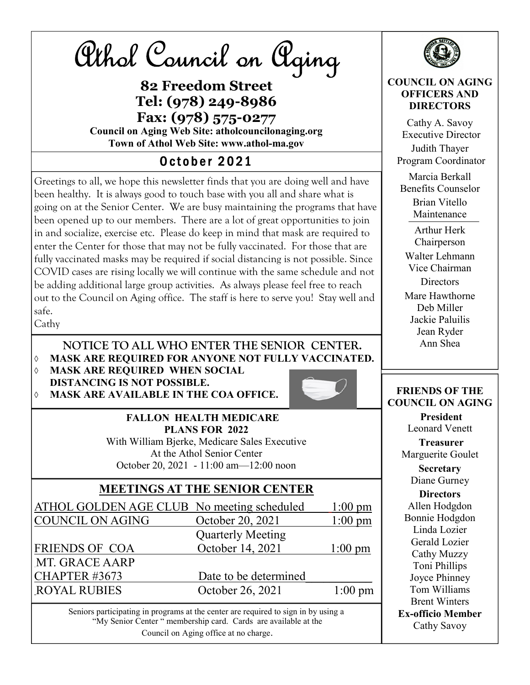Athol Council on Aging

82 Freedom Street Tel: (978) 249-8986 Fax: (978) 575-0277 Council on Aging Web Site: atholcouncilonaging.org Town of Athol Web Site: www.athol-ma.gov

### **October 2021**

Greetings to all, we hope this newsletter finds that you are doing well and have been healthy. It is always good to touch base with you all and share what is going on at the Senior Center. We are busy maintaining the programs that have been opened up to our members. There are a lot of great opportunities to join in and socialize, exercise etc. Please do keep in mind that mask are required to enter the Center for those that may not be fully vaccinated. For those that are fully vaccinated masks may be required if social distancing is not possible. Since COVID cases are rising locally we will continue with the same schedule and not be adding additional large group activities. As always please feel free to reach out to the Council on Aging office. The staff is here to serve you! Stay well and safe.

Cathy

 NOTICE TO ALL WHO ENTER THE SENIOR CENTER. MASK ARE REQUIRED FOR ANYONE NOT FULLY VACCINATED.

 MASK ARE REQUIRED WHEN SOCIAL DISTANCING IS NOT POSSIBLE. MASK ARE AVAILABLE IN THE COA OFFICE.



 FALLON HEALTH MEDICARE PLANS FOR 2022 With William Bjerke, Medicare Sales Executive At the Athol Senior Center October 20, 2021 - 11:00 am—12:00 noon

#### MEETINGS AT THE SENIOR CENTER

ATHOL GOLDEN AGE CLUB No meeting scheduled 1:00 pm COUNCIL ON AGING October 20, 2021 1:00 pm Quarterly Meeting FRIENDS OF COA October 14, 2021 1:00 pm \_MT. GRACE AARP CHAPTER #3673 Date to be determined ROYAL RUBIES October 26, 2021 1:00 pm

Seniors participating in programs at the center are required to sign in by using a "My Senior Center " membership card. Cards are available at the Council on Aging office at no charge.



#### COUNCIL ON AGING OFFICERS AND **DIRECTORS**

Cathy A. Savoy Executive Director Judith Thayer Program Coordinator Marcia Berkall Benefits Counselor Brian Vitello Maintenance Arthur Herk Chairperson Walter Lehmann Vice Chairman **Directors** Mare Hawthorne Deb Miller Jackie Paluilis Jean Ryder Ann Shea

#### FRIENDS OF THE COUNCIL ON AGING

President Leonard Venett

Treasurer Marguerite Goulet

> **Secretary** Diane Gurney

**Directors** Allen Hodgdon Bonnie Hodgdon Linda Lozier Gerald Lozier Cathy Muzzy Toni Phillips Joyce Phinney Tom Williams Brent Winters Ex-officio Member Cathy Savoy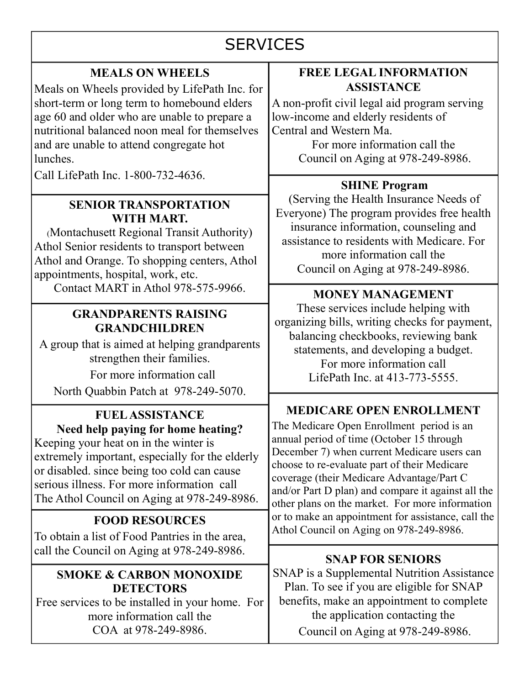# **SERVICES**

#### MEALS ON WHEELS

Meals on Wheels provided by LifePath Inc. for short-term or long term to homebound elders age 60 and older who are unable to prepare a nutritional balanced noon meal for themselves and are unable to attend congregate hot lunches.

Call LifePath Inc. 1-800-732-4636.

#### SENIOR TRANSPORTATION WITH MART.

(Montachusett Regional Transit Authority) Athol Senior residents to transport between Athol and Orange. To shopping centers, Athol appointments, hospital, work, etc.

Contact MART in Athol 978-575-9966.

#### GRANDPARENTS RAISING GRANDCHILDREN

A group that is aimed at helping grandparents strengthen their families.

For more information call

North Quabbin Patch at 978-249-5070.

#### FUEL ASSISTANCE Need help paying for home heating?

Keeping your heat on in the winter is extremely important, especially for the elderly or disabled. since being too cold can cause serious illness. For more information call The Athol Council on Aging at 978-249-8986.

### FOOD RESOURCES

To obtain a list of Food Pantries in the area, call the Council on Aging at 978-249-8986.

#### SMOKE & CARBON MONOXIDE **DETECTORS**

Free services to be installed in your home. For more information call the COA at 978-249-8986.

#### FREE LEGAL INFORMATION **ASSISTANCE**

A non-profit civil legal aid program serving low-income and elderly residents of Central and Western Ma.

For more information call the Council on Aging at 978-249-8986.

#### SHINE Program

(Serving the Health Insurance Needs of Everyone) The program provides free health insurance information, counseling and assistance to residents with Medicare. For more information call the Council on Aging at 978-249-8986.

### MONEY MANAGEMENT

These services include helping with organizing bills, writing checks for payment, balancing checkbooks, reviewing bank statements, and developing a budget. For more information call LifePath Inc. at 413-773-5555.

### MEDICARE OPEN ENROLLMENT

The Medicare Open Enrollment period is an annual period of time (October 15 through December 7) when current Medicare users can choose to re-evaluate part of their Medicare coverage (their Medicare Advantage/Part C and/or Part D plan) and compare it against all the other plans on the market. For more information or to make an appointment for assistance, call the Athol Council on Aging on 978-249-8986.

#### SNAP FOR SENIORS

SNAP is a Supplemental Nutrition Assistance Plan. To see if you are eligible for SNAP benefits, make an appointment to complete the application contacting the Council on Aging at 978-249-8986.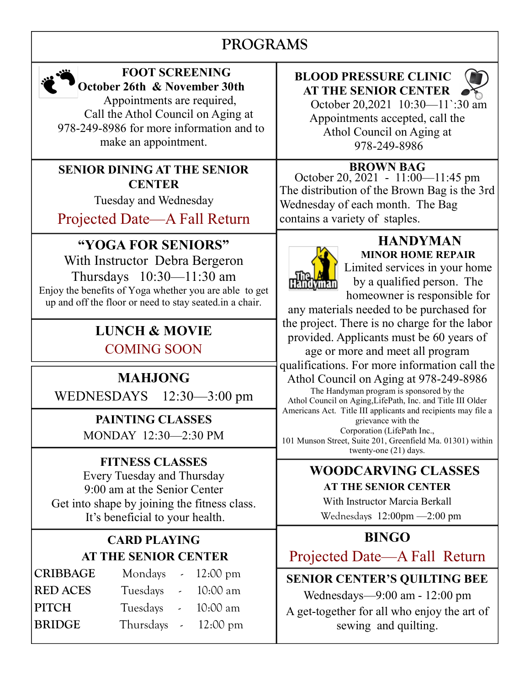# PROGRAMS

I



#### FOOT SCREENING October 26th & November 30th

 Appointments are required, Call the Athol Council on Aging at 978-249-8986 for more information and to make an appointment.

#### SENIOR DINING AT THE SENIOR **CENTER**

Tuesday and Wednesday

Projected Date—A Fall Return

## "YOGA FOR SENIORS"

With Instructor Debra Bergeron Thursdays 10:30—11:30 am Enjoy the benefits of Yoga whether you are able to get up and off the floor or need to stay seated.in a chair.

### LUNCH & MOVIE COMING SOON

# MAHJONG

WEDNESDAYS 12:30—3:00 pm

PAINTING CLASSES MONDAY 12:30—2:30 PM

### FITNESS CLASSES

Every Tuesday and Thursday 9:00 am at the Senior Center Get into shape by joining the fitness class. It's beneficial to your health.

### CARD PLAYING AT THE SENIOR CENTER

| Tuesdays | $\omega_{\rm{max}}$ | 10:00 am                                                     |
|----------|---------------------|--------------------------------------------------------------|
|          |                     | 10:00 am                                                     |
|          |                     | $12:00 \text{ pm}$                                           |
|          |                     | Mondays $\sim 12:00 \text{ pm}$<br>Tuesdays -<br>Thursdays - |

### BLOOD PRESSURE CLINIC AT THE SENIOR CENTER



 October 20,2021 10:30—11`:30 am Appointments accepted, call the Athol Council on Aging at 978-249-8986

### BROWN BAG

October 20, 2021 - 11:00—11:45 pm The distribution of the Brown Bag is the 3rd Wednesday of each month. The Bag contains a variety of staples.



#### HANDYMAN MINOR HOME REPAIR

Limited services in your home by a qualified person. The homeowner is responsible for

any materials needed to be purchased for the project. There is no charge for the labor provided. Applicants must be 60 years of

age or more and meet all program qualifications. For more information call the Athol Council on Aging at 978-249-8986

The Handyman program is sponsored by the Athol Council on Aging,LifePath, Inc. and Title III Older Americans Act. Title III applicants and recipients may file a grievance with the Corporation (LifePath Inc.,

101 Munson Street, Suite 201, Greenfield Ma. 01301) within twenty-one (21) days.

# WOODCARVING CLASSES

#### AT THE SENIOR CENTER

With Instructor Marcia Berkall Wednesdays 12:00pm —2:00 pm

## BINGO

Projected Date—A Fall Return

SENIOR CENTER'S QUILTING BEE

Wednesdays—9:00 am - 12:00 pm A get-together for all who enjoy the art of sewing and quilting.